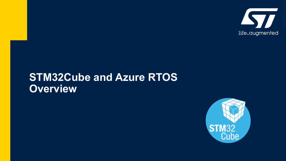

#### **STM32Cube and Azure RTOS Overview**

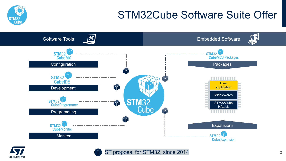### STM32Cube Software Suite Offer





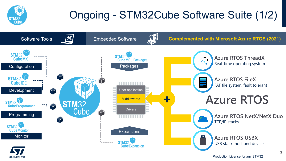

life, auamented

# Ongoing - STM32Cube Software Suite (1/2)



Production License for any STM32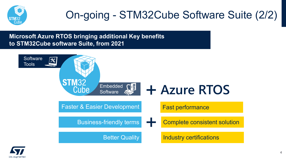

## On-going - STM32Cube Software Suite (2/2)

Embedded Software **Microsoft Azure RTOS bringing additional Key benefits to STM32Cube software Suite, from 2021**



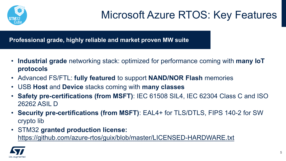

**Professional grade, highly reliable and market proven MW suite**

- **Industrial grade** networking stack: optimized for performance coming with **many IoT protocols**
- Advanced FS/FTL: **fully featured** to support **NAND/NOR Flash** memories
- USB **Host** and **Device** stacks coming with **many classes**
- **Safety pre-certifications (from MSFT)**: IEC 61508 SIL4, IEC 62304 Class C and ISO 26262 ASIL D
- **Security pre-certifications (from MSFT)**: EAL4+ for TLS/DTLS, FIPS 140-2 for SW crypto lib
- STM32 **granted production license:**  [https://github.com/azure-rtos/guix/blob/master/LICENSED-HARDWARE.txt](https://github.com/azure-rtos/guix/blob/master/LICENSED-HARDWARE.txt?ecmp=tt21056_gl_link_may2021)

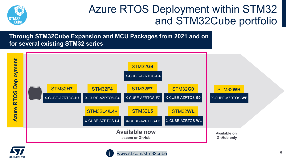

#### Azure RTOS Deployment within STM32 and STM32Cube portfolio

**Through STM32Cube Expansion and MCU Packages from 2021 and on for several existing STM32 series**





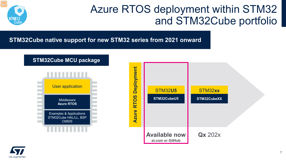

#### Azure RTOS deployment within STM32 and STM32Cube portfolio

**STM32Cube native support for new STM32 series from 2021 onward**





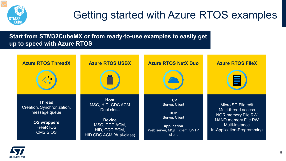

### Getting started with Azure RTOS examples

**Start from STM32CubeMX or from ready-to-use examples to easily get up to speed with Azure RTOS**



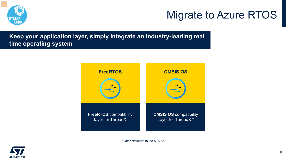#### Migrate to Azure RTOS



**Keep your application layer, simply integrate an industry-leading real time operating system**



\* Offer exclusive to the STM32

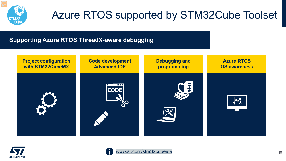

### Azure RTOS supported by STM32Cube Toolset

#### **Supporting Azure RTOS ThreadX-aware debugging**





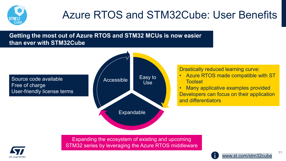

### Azure RTOS and STM32Cube: User Benefits

#### **Getting the most out of Azure RTOS and STM32 MCUs is now easier than ever with STM32Cube**

Source code available  $\blacksquare$   $\blacksquare$  Accessible Free of charge User-friendly license terms



Drastically reduced learning curve:

- Azure RTOS made compatible with ST **Toolset**
- Many applicative examples provided Developers can focus on their application and differentiators



Expanding the ecosystem of existing and upcoming STM32 series by leveraging the Azure RTOS middleware



11